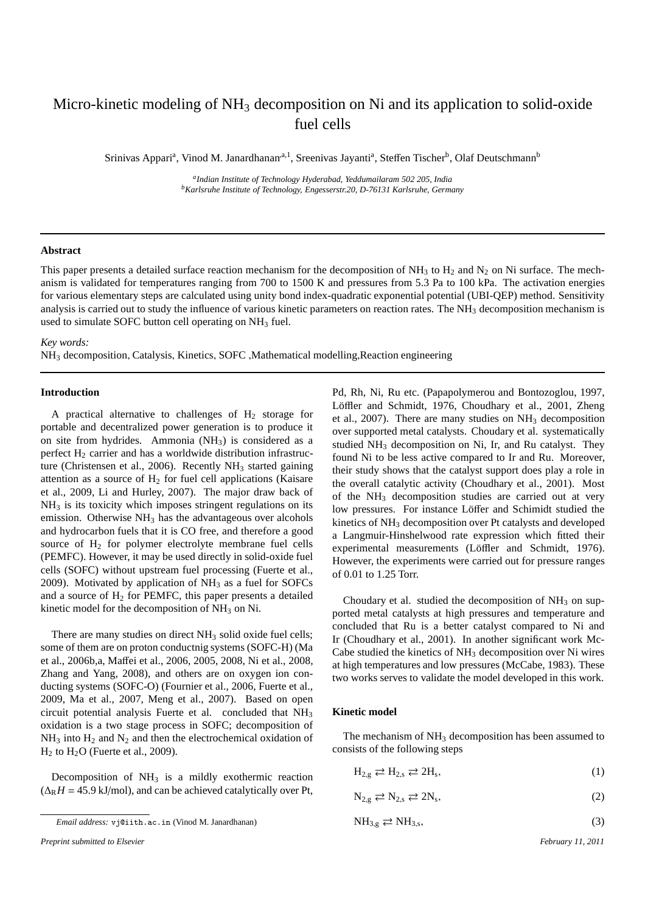# Micro-kinetic modeling of  $NH_3$  decomposition on Ni and its application to solid-oxide fuel cells

Srinivas Appari<sup>a</sup>, Vinod M. Janardhanan<sup>a, 1</sup>, Sreenivas Jayanti<sup>a</sup>, Steffen Tischer<sup>b</sup>, Olaf Deutschmann<sup>b</sup>

*a Indian Institute of Technology Hyderabad, Yeddumailaram 502 205, India <sup>b</sup>Karlsruhe Institute of Technology, Engesserstr.20, D-76131 Karlsruhe, Germany*

## **Abstract**

This paper presents a detailed surface reaction mechanism for the decomposition of NH<sub>3</sub> to H<sub>2</sub> and N<sub>2</sub> on Ni surface. The mechanism is validated for temperatures ranging from 700 to 1500 K and pressures from 5.3 Pa to 100 kPa. The activation energies for various elementary steps are calculated using unity bond index-quadratic exponential potential (UBI-QEP) method. Sensitivity analysis is carried out to study the influence of various kinetic parameters on reaction rates. The  $NH<sub>3</sub>$  decomposition mechanism is used to simulate SOFC button cell operating on  $NH<sub>3</sub>$  fuel.

*Key words:*

NH<sup>3</sup> decomposition, Catalysis, Kinetics, SOFC ,Mathematical modelling,Reaction engineering

### **Introduction**

A practical alternative to challenges of  $H<sub>2</sub>$  storage for portable and decentralized power generation is to produce it on site from hydrides. Ammonia (NH3) is considered as a perfect  $H<sub>2</sub>$  carrier and has a worldwide distribution infrastructure (Christensen et al., 2006). Recently  $NH<sub>3</sub>$  started gaining attention as a source of  $H_2$  for fuel cell applications (Kaisare et al., 2009, Li and Hurley, 2007). The major draw back of  $NH<sub>3</sub>$  is its toxicity which imposes stringent regulations on its emission. Otherwise  $NH<sub>3</sub>$  has the advantageous over alcohols and hydrocarbon fuels that it is CO free, and therefore a good source of  $H<sub>2</sub>$  for polymer electrolyte membrane fuel cells (PEMFC). However, it may be used directly in solid-oxide fuel cells (SOFC) without upstream fuel processing (Fuerte et al., 2009). Motivated by application of  $NH<sub>3</sub>$  as a fuel for SOFCs and a source of  $H_2$  for PEMFC, this paper presents a detailed kinetic model for the decomposition of  $NH<sub>3</sub>$  on Ni.

There are many studies on direct NH<sub>3</sub> solid oxide fuel cells; some of them are on proton conductnig systems (SOFC-H) (Ma et al., 2006b,a, Maffei et al., 2006, 2005, 2008, Ni et al., 2008, Zhang and Yang, 2008), and others are on oxygen ion conducting systems (SOFC-O) (Fournier et al., 2006, Fuerte et al., 2009, Ma et al., 2007, Meng et al., 2007). Based on open circuit potential analysis Fuerte et al. concluded that NH<sup>3</sup> oxidation is a two stage process in SOFC; decomposition of  $NH<sub>3</sub>$  into  $H<sub>2</sub>$  and  $N<sub>2</sub>$  and then the electrochemical oxidation of  $H<sub>2</sub>$  to  $H<sub>2</sub>O$  (Fuerte et al., 2009).

Decomposition of  $NH_3$  is a mildly exothermic reaction  $(\Delta_R H = 45.9 \text{ kJ/mol})$ , and can be achieved catalytically over Pt,

*Preprint submitted to Elsevier February 11, 2011*

Pd, Rh, Ni, Ru etc. (Papapolymerou and Bontozoglou, 1997, Löffler and Schmidt, 1976, Choudhary et al., 2001, Zheng et al., 2007). There are many studies on NH<sup>3</sup> decomposition over supported metal catalysts. Choudary et al. systematically studied NH<sup>3</sup> decomposition on Ni, Ir, and Ru catalyst. They found Ni to be less active compared to Ir and Ru. Moreover, their study shows that the catalyst support does play a role in the overall catalytic activity (Choudhary et al., 2001). Most of the NH<sup>3</sup> decomposition studies are carried out at very low pressures. For instance Löffer and Schimidt studied the kinetics of NH<sub>3</sub> decomposition over Pt catalysts and developed a Langmuir-Hinshelwood rate expression which fitted their experimental measurements (Löffler and Schmidt, 1976). However, the experiments were carried out for pressure ranges of 0.01 to 1.25 Torr.

Choudary et al. studied the decomposition of  $NH<sub>3</sub>$  on supported metal catalysts at high pressures and temperature and concluded that Ru is a better catalyst compared to Ni and Ir (Choudhary et al., 2001). In another significant work Mc-Cabe studied the kinetics of NH<sub>3</sub> decomposition over Ni wires at high temperatures and low pressures (McCabe, 1983). These two works serves to validate the model developed in this work.

#### **Kinetic model**

The mechanism of  $NH<sub>3</sub>$  decomposition has been assumed to consists of the following steps

$$
H_{2,g} \rightleftarrows H_{2,s} \rightleftarrows 2H_s,\tag{1}
$$

$$
N_{2,g} \rightleftarrows N_{2,s} \rightleftarrows 2N_s,\tag{2}
$$

$$
NH_{3,g} \rightleftarrows NH_{3,s},\tag{3}
$$

*Email address:* vj@iith.ac.in (Vinod M. Janardhanan)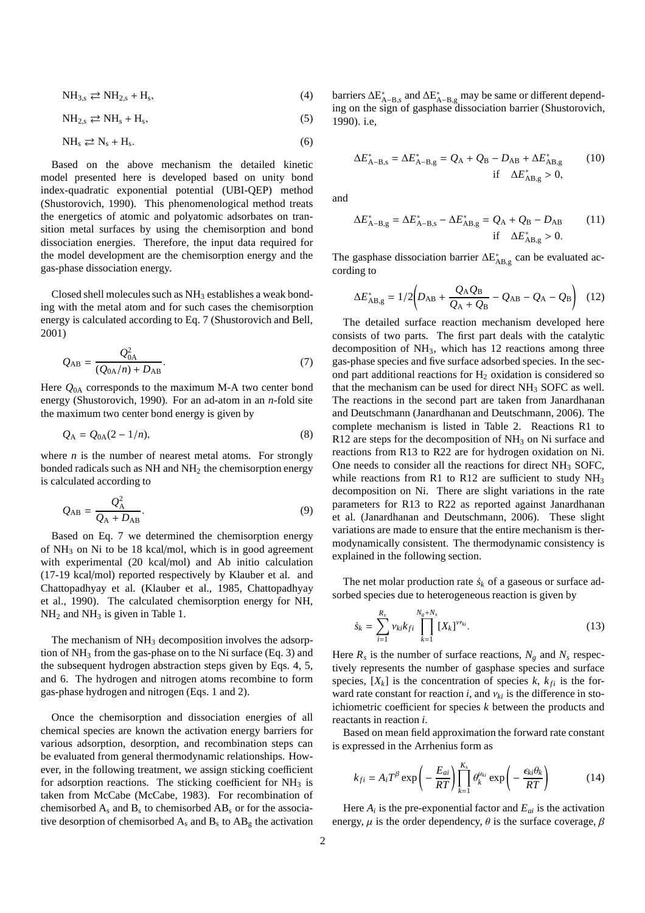$$
NH_{3,s} \rightleftarrows NH_{2,s} + H_s,\tag{4}
$$

$$
NH_{2,s} \rightleftarrows NH_s + H_s,\tag{5}
$$

$$
NH_s \rightleftarrows N_s + H_s. \tag{6}
$$

Based on the above mechanism the detailed kinetic model presented here is developed based on unity bond index-quadratic exponential potential (UBI-QEP) method (Shustorovich, 1990). This phenomenological method treats the energetics of atomic and polyatomic adsorbates on transition metal surfaces by using the chemisorption and bond dissociation energies. Therefore, the input data required for the model development are the chemisorption energy and the gas-phase dissociation energy.

Closed shell molecules such as  $NH<sub>3</sub>$  establishes a weak bonding with the metal atom and for such cases the chemisorption energy is calculated according to Eq. 7 (Shustorovich and Bell, 2001)

$$
Q_{AB} = \frac{Q_{0A}^2}{(Q_{0A}/n) + D_{AB}}.
$$
 (7)

Here *Q*0A corresponds to the maximum M-A two center bond energy (Shustorovich, 1990). For an ad-atom in an *n*-fold site the maximum two center bond energy is given by

$$
Q_{A} = Q_{0A}(2 - 1/n),
$$
 (8)

where  $n$  is the number of nearest metal atoms. For strongly bonded radicals such as NH and NH<sup>2</sup> the chemisorption energy is calculated according to

$$
Q_{AB} = \frac{Q_A^2}{Q_A + D_{AB}}.\tag{9}
$$

Based on Eq. 7 we determined the chemisorption energy of NH<sup>3</sup> on Ni to be 18 kcal/mol, which is in good agreement with experimental (20 kcal/mol) and Ab initio calculation (17-19 kcal/mol) reported respectively by Klauber et al. and Chattopadhyay et al. (Klauber et al., 1985, Chattopadhyay et al., 1990). The calculated chemisorption energy for NH,  $NH<sub>2</sub>$  and  $NH<sub>3</sub>$  is given in Table 1.

The mechanism of  $NH_3$  decomposition involves the adsorption of  $NH_3$  from the gas-phase on to the Ni surface (Eq. 3) and the subsequent hydrogen abstraction steps given by Eqs. 4, 5, and 6. The hydrogen and nitrogen atoms recombine to form gas-phase hydrogen and nitrogen (Eqs. 1 and 2).

Once the chemisorption and dissociation energies of all chemical species are known the activation energy barriers for various adsorption, desorption, and recombination steps can be evaluated from general thermodynamic relationships. However, in the following treatment, we assign sticking coefficient for adsorption reactions. The sticking coefficient for  $NH<sub>3</sub>$  is taken from McCabe (McCabe, 1983). For recombination of chemisorbed  $A_s$  and  $B_s$  to chemisorbed  $AB_s$  or for the associative desorption of chemisorbed  $A_s$  and  $B_s$  to  $AB_g$  the activation

barriers  $\Delta E_{A-B,s}^*$  and  $\Delta E_{A-B,g}^*$  may be same or different depending on the sign of gasphase dissociation barrier (Shustorovich, 1990). i.e,

$$
\Delta E_{\text{A-B,s}}^* = \Delta E_{\text{A-B,g}}^* = Q_{\text{A}} + Q_{\text{B}} - D_{\text{AB}} + \Delta E_{\text{AB,g}}^* \tag{10}
$$
  
if  $\Delta E_{\text{AB,g}}^* > 0$ ,

and

$$
\Delta E_{A-B,g}^* = \Delta E_{A-B,s}^* - \Delta E_{AB,g}^* = Q_A + Q_B - D_{AB}
$$
 (11)  
if  $\Delta E_{AB,g}^* > 0$ .

The gasphase dissociation barrier  $\Delta E_A^*$  $_{AB,g}^*$  can be evaluated according to

$$
\Delta E_{\rm AB,g}^* = 1/2 \bigg( D_{\rm AB} + \frac{Q_{\rm A} Q_{\rm B}}{Q_{\rm A} + Q_{\rm B}} - Q_{\rm AB} - Q_{\rm A} - Q_{\rm B} \bigg) \tag{12}
$$

The detailed surface reaction mechanism developed here consists of two parts. The first part deals with the catalytic decomposition of NH3, which has 12 reactions among three gas-phase species and five surface adsorbed species. In the second part additional reactions for  $H<sub>2</sub>$  oxidation is considered so that the mechanism can be used for direct  $NH<sub>3</sub>$  SOFC as well. The reactions in the second part are taken from Janardhanan and Deutschmann (Janardhanan and Deutschmann, 2006). The complete mechanism is listed in Table 2. Reactions R1 to R12 are steps for the decomposition of NH<sup>3</sup> on Ni surface and reactions from R13 to R22 are for hydrogen oxidation on Ni. One needs to consider all the reactions for direct  $NH<sub>3</sub>$  SOFC, while reactions from R1 to R12 are sufficient to study  $NH<sub>3</sub>$ decomposition on Ni. There are slight variations in the rate parameters for R13 to R22 as reported against Janardhanan et al. (Janardhanan and Deutschmann, 2006). These slight variations are made to ensure that the entire mechanism is thermodynamically consistent. The thermodynamic consistency is explained in the following section.

The net molar production rate  $\dot{s}_k$  of a gaseous or surface adsorbed species due to heterogeneous reaction is given by

$$
\dot{s}_k = \sum_{i=1}^{R_s} \nu_{ki} k_{fi} \prod_{k=1}^{N_g + N_s} [X_k]^{\nu_{ki}}.
$$
 (13)

Here  $R_s$  is the number of surface reactions,  $N_g$  and  $N_s$  respectively represents the number of gasphase species and surface species,  $[X_k]$  is the concentration of species  $k$ ,  $k_{fi}$  is the forward rate constant for reaction *i*, and  $v_{ki}$  is the difference in stoichiometric coefficient for species *k* between the products and reactants in reaction *i*.

Based on mean field approximation the forward rate constant is expressed in the Arrhenius form as

$$
k_{fi} = A_i T^{\beta} \exp\left(-\frac{E_{ai}}{RT}\right) \prod_{k=1}^{K_s} \theta_k^{\mu_{ki}} \exp\left(-\frac{\epsilon_{ki}\theta_k}{RT}\right) \tag{14}
$$

Here *A<sup>i</sup>* is the pre-exponential factor and *Eai* is the activation energy,  $\mu$  is the order dependency,  $\theta$  is the surface coverage,  $\beta$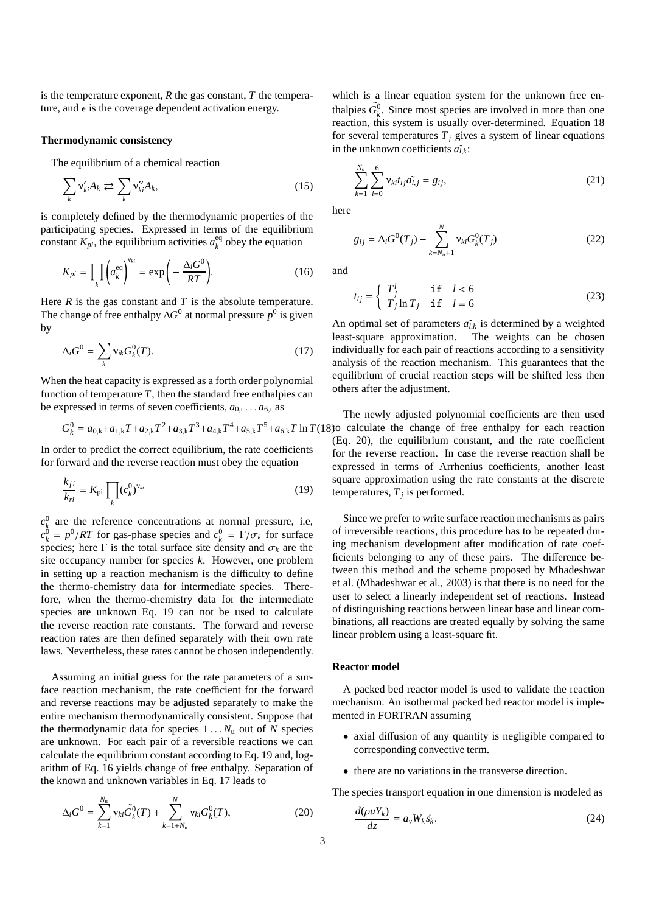is the temperature exponent, *R* the gas constant, *T* the temperature, and  $\epsilon$  is the coverage dependent activation energy.

## **Thermodynamic consistency**

The equilibrium of a chemical reaction

$$
\sum_{k} \mathsf{v}'_{ki} A_k \rightleftarrows \sum_{k} \mathsf{v}''_{ki} A_k,\tag{15}
$$

is completely defined by the thermodynamic properties of the participating species. Expressed in terms of the equilibrium constant  $K_{pi}$ , the equilibrium activities  $a_k^{eq}$  $k_k^{\text{eq}}$  obey the equation

$$
K_{pi} = \prod_{k} \left( a_k^{\text{eq}} \right)^{\nu_{ki}} = \exp \left( -\frac{\Delta_i G^0}{RT} \right). \tag{16}
$$

Here  $R$  is the gas constant and  $T$  is the absolute temperature. The change of free enthalpy  $\Delta G^0$  at normal pressure  $p^0$  is given by

$$
\Delta_i G^0 = \sum_k \mathbf{v}_{ik} G_k^0(T). \tag{17}
$$

When the heat capacity is expressed as a forth order polynomial function of temperature  $T$ , then the standard free enthalpies can be expressed in terms of seven coefficients,  $a_{0,i} \dots a_{6,i}$  as

$$
G_k^0 = a_{0,k} + a_{1,k}T + a_{2,k}T^2 + a_{3,k}T^3 + a_{4,k}T^4 + a_{5,k}T^5 + a_{6,k}T \ln T(1
$$

In order to predict the correct equilibrium, the rate coefficients for forward and the reverse reaction must obey the equation

$$
\frac{k_{fi}}{k_{ri}} = K_{\text{pi}} \prod_{k} (c_k^0)^{\nu_{ki}} \tag{19}
$$

 $c_k^0$  are the reference concentrations at normal pressure, i.e,  $c_k^0 = p^0/RT$  for gas-phase species and  $c_k^0 = \Gamma/\sigma_k$  for surface species; here  $\Gamma$  is the total surface site density and  $\sigma_k$  are the site occupancy number for species *k*. However, one problem in setting up a reaction mechanism is the difficulty to define the thermo-chemistry data for intermediate species. Therefore, when the thermo-chemistry data for the intermediate species are unknown Eq. 19 can not be used to calculate the reverse reaction rate constants. The forward and reverse reaction rates are then defined separately with their own rate laws. Nevertheless, these rates cannot be chosen independently.

Assuming an initial guess for the rate parameters of a surface reaction mechanism, the rate coefficient for the forward and reverse reactions may be adjusted separately to make the entire mechanism thermodynamically consistent. Suppose that the thermodynamic data for species  $1 \ldots N_u$  out of *N* species are unknown. For each pair of a reversible reactions we can calculate the equilibrium constant according to Eq. 19 and, logarithm of Eq. 16 yields change of free enthalpy. Separation of the known and unknown variables in Eq. 17 leads to

$$
\Delta_i G^0 = \sum_{k=1}^{N_u} \nu_{ki} \tilde{G}_k^0(T) + \sum_{k=1+N_u}^{N} \nu_{ki} G_k^0(T), \qquad (20)
$$

which is a linear equation system for the unknown free enthalpies  $\tilde{G}_k^0$ . Since most species are involved in more than one reaction, this system is usually over-determined. Equation 18 for several temperatures  $T_i$  gives a system of linear equations in the unknown coefficients  $\tilde{a}_{lk}$ :

$$
\sum_{k=1}^{N_{\rm u}} \sum_{l=0}^{6} \mathbf{v}_{ki} t_{lj} a_{l,j}^{\dagger} = g_{ij},\tag{21}
$$

here

$$
g_{ij} = \Delta_i G^0(T_j) - \sum_{k=N_u+1}^{N} \nu_{ki} G_k^0(T_j)
$$
 (22)

and

$$
t_{lj} = \begin{cases} T_j^l & \text{if } l < 6\\ T_j \ln T_j & \text{if } l = 6 \end{cases}
$$
 (23)

An optimal set of parameters  $\tilde{a}_{l,k}$  is determined by a weighted least-square approximation. The weights can be chosen individually for each pair of reactions according to a sensitivity analysis of the reaction mechanism. This guarantees that the equilibrium of crucial reaction steps will be shifted less then others after the adjustment.

 $5+a_{6,k}T \ln T(18)$  calculate the change of free enthalpy for each reaction The newly adjusted polynomial coefficients are then used (Eq. 20), the equilibrium constant, and the rate coefficient for the reverse reaction. In case the reverse reaction shall be expressed in terms of Arrhenius coefficients, another least square approximation using the rate constants at the discrete temperatures,  $T_j$  is performed.

> Since we prefer to write surface reaction mechanisms as pairs of irreversible reactions, this procedure has to be repeated during mechanism development after modification of rate coefficients belonging to any of these pairs. The difference between this method and the scheme proposed by Mhadeshwar et al. (Mhadeshwar et al., 2003) is that there is no need for the user to select a linearly independent set of reactions. Instead of distinguishing reactions between linear base and linear combinations, all reactions are treated equally by solving the same linear problem using a least-square fit.

## **Reactor model**

A packed bed reactor model is used to validate the reaction mechanism. An isothermal packed bed reactor model is implemented in FORTRAN assuming

- axial diffusion of any quantity is negligible compared to corresponding convective term.
- there are no variations in the transverse direction.

The species transport equation in one dimension is modeled as

$$
\frac{d(\rho u Y_k)}{dz} = a_v W_k s_k. \tag{24}
$$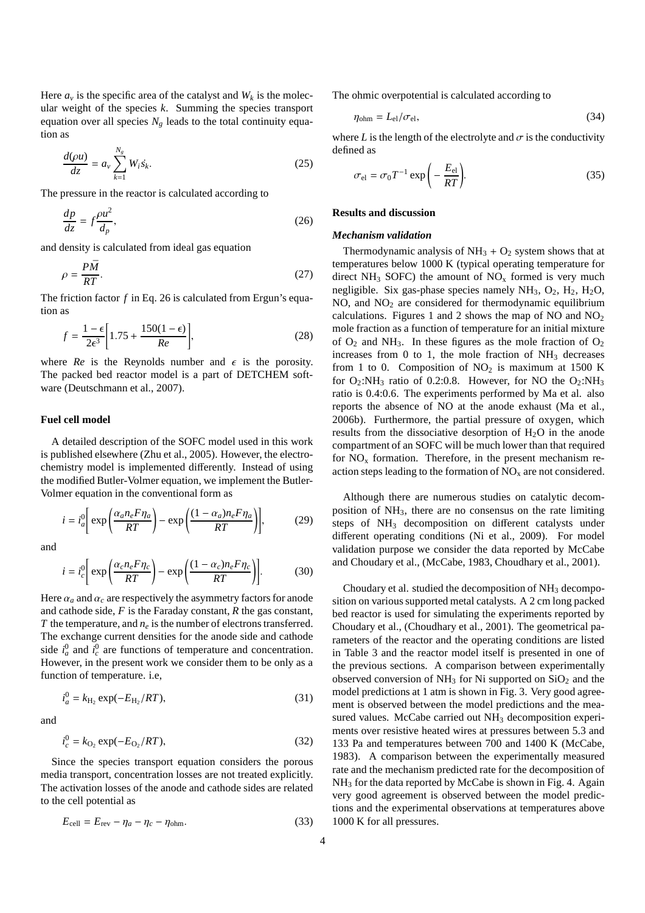Here  $a<sub>v</sub>$  is the specific area of the catalyst and  $W<sub>k</sub>$  is the molecular weight of the species *k*. Summing the species transport equation over all species  $N_g$  leads to the total continuity equation as

$$
\frac{d(\rho u)}{dz} = a_v \sum_{k=1}^{N_g} W_i \dot{s}_k.
$$
\n(25)

The pressure in the reactor is calculated according to

$$
\frac{dp}{dz} = f \frac{\rho u^2}{d_p},\tag{26}
$$

and density is calculated from ideal gas equation

$$
\rho = \frac{P\bar{M}}{RT}.\tag{27}
$$

The friction factor *f* in Eq. 26 is calculated from Ergun's equation as

$$
f = \frac{1 - \epsilon}{2\epsilon^3} \left[ 1.75 + \frac{150(1 - \epsilon)}{Re} \right],\tag{28}
$$

where  $Re$  is the Reynolds number and  $\epsilon$  is the porosity. The packed bed reactor model is a part of DETCHEM software (Deutschmann et al., 2007).

## **Fuel cell model**

A detailed description of the SOFC model used in this work is published elsewhere (Zhu et al., 2005). However, the electrochemistry model is implemented differently. Instead of using the modified Butler-Volmer equation, we implement the Butler-Volmer equation in the conventional form as

$$
i = i_a^0 \left[ \exp\left(\frac{\alpha_a n_e F \eta_a}{RT}\right) - \exp\left(\frac{(1 - \alpha_a) n_e F \eta_a}{RT}\right) \right],\tag{29}
$$

and

$$
i = i_c^0 \left[ \exp\left(\frac{\alpha_c n_e F \eta_c}{RT}\right) - \exp\left(\frac{(1 - \alpha_c) n_e F \eta_c}{RT}\right) \right].
$$
 (30)

Here  $\alpha_a$  and  $\alpha_c$  are respectively the asymmetry factors for anode and cathode side, *F* is the Faraday constant, *R* the gas constant, *T* the temperature, and  $n_e$  is the number of electrons transferred. The exchange current densities for the anode side and cathode side  $i_a^0$  and  $i_c^0$  are functions of temperature and concentration. However, in the present work we consider them to be only as a function of temperature. i.e,

$$
i_a^0 = k_{\rm H_2} \exp(-E_{\rm H_2}/RT),\tag{31}
$$

and

$$
i_c^0 = k_{\text{O}_2} \exp(-E_{\text{O}_2}/RT),\tag{32}
$$

Since the species transport equation considers the porous media transport, concentration losses are not treated explicitly. The activation losses of the anode and cathode sides are related to the cell potential as

$$
E_{\text{cell}} = E_{\text{rev}} - \eta_a - \eta_c - \eta_{\text{ohm}}.\tag{33}
$$

The ohmic overpotential is calculated according to

$$
\eta_{\text{ohm}} = L_{\text{el}} / \sigma_{\text{el}},\tag{34}
$$

where *L* is the length of the electrolyte and  $\sigma$  is the conductivity defined as

$$
\sigma_{\rm el} = \sigma_0 T^{-1} \exp\left(-\frac{E_{\rm el}}{RT}\right). \tag{35}
$$

### **Results and discussion**

#### *Mechanism validation*

Thermodynamic analysis of  $NH<sub>3</sub> + O<sub>2</sub>$  system shows that at temperatures below 1000 K (typical operating temperature for direct NH<sub>3</sub> SOFC) the amount of  $NO<sub>x</sub>$  formed is very much negligible. Six gas-phase species namely  $NH<sub>3</sub>$ ,  $O<sub>2</sub>$ ,  $H<sub>2</sub>$ ,  $H<sub>2</sub>O$ ,  $NO$ , and  $NO<sub>2</sub>$  are considered for thermodynamic equilibrium calculations. Figures 1 and 2 shows the map of NO and  $NO<sub>2</sub>$ mole fraction as a function of temperature for an initial mixture of  $O_2$  and NH<sub>3</sub>. In these figures as the mole fraction of  $O_2$ increases from  $0$  to 1, the mole fraction of  $NH<sub>3</sub>$  decreases from 1 to 0. Composition of  $NO<sub>2</sub>$  is maximum at 1500 K for  $O_2$ :NH<sub>3</sub> ratio of 0.2:0.8. However, for NO the  $O_2$ :NH<sub>3</sub> ratio is 0.4:0.6. The experiments performed by Ma et al. also reports the absence of NO at the anode exhaust (Ma et al., 2006b). Furthermore, the partial pressure of oxygen, which results from the dissociative desorption of  $H<sub>2</sub>O$  in the anode compartment of an SOFC will be much lower than that required for  $NO<sub>x</sub>$  formation. Therefore, in the present mechanism reaction steps leading to the formation of  $NO<sub>x</sub>$  are not considered.

Although there are numerous studies on catalytic decomposition of NH3, there are no consensus on the rate limiting steps of NH<sup>3</sup> decomposition on different catalysts under different operating conditions (Ni et al., 2009). For model validation purpose we consider the data reported by McCabe and Choudary et al., (McCabe, 1983, Choudhary et al., 2001).

Choudary et al. studied the decomposition of  $NH<sub>3</sub>$  decomposition on various supported metal catalysts. A 2 cm long packed bed reactor is used for simulating the experiments reported by Choudary et al., (Choudhary et al., 2001). The geometrical parameters of the reactor and the operating conditions are listed in Table 3 and the reactor model itself is presented in one of the previous sections. A comparison between experimentally observed conversion of  $NH_3$  for Ni supported on  $SiO_2$  and the model predictions at 1 atm is shown in Fig. 3. Very good agreement is observed between the model predictions and the measured values. McCabe carried out NH<sub>3</sub> decomposition experiments over resistive heated wires at pressures between 5.3 and 133 Pa and temperatures between 700 and 1400 K (McCabe, 1983). A comparison between the experimentally measured rate and the mechanism predicted rate for the decomposition of NH<sup>3</sup> for the data reported by McCabe is shown in Fig. 4. Again very good agreement is observed between the model predictions and the experimental observations at temperatures above 1000 K for all pressures.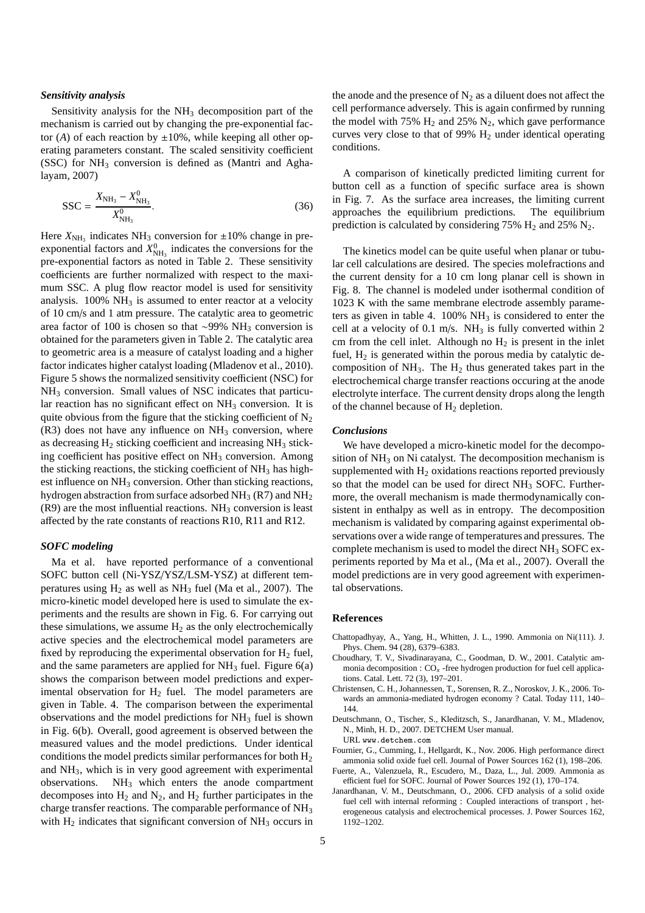#### *Sensitivity analysis*

Sensitivity analysis for the  $NH<sub>3</sub>$  decomposition part of the mechanism is carried out by changing the pre-exponential factor (*A*) of each reaction by  $\pm 10\%$ , while keeping all other operating parameters constant. The scaled sensitivity coefficient (SSC) for  $NH_3$  conversion is defined as (Mantri and Aghalayam, 2007)

$$
SSC = \frac{X_{NH_3} - X_{NH_3}^0}{X_{NH_3}^0}.
$$
 (36)

Here  $X_{\text{NH}_3}$  indicates NH<sub>3</sub> conversion for  $\pm 10\%$  change in preexponential factors and  $X_{NH_3}^0$  indicates the conversions for the pre-exponential factors as noted in Table 2. These sensitivity coefficients are further normalized with respect to the maximum SSC. A plug flow reactor model is used for sensitivity analysis.  $100\% \text{ NH}_3$  is assumed to enter reactor at a velocity of 10 cm/s and 1 atm pressure. The catalytic area to geometric area factor of 100 is chosen so that ∼99% NH<sup>3</sup> conversion is obtained for the parameters given in Table 2. The catalytic area to geometric area is a measure of catalyst loading and a higher factor indicates higher catalyst loading (Mladenov et al., 2010). Figure 5 shows the normalized sensitivity coefficient (NSC) for NH<sup>3</sup> conversion. Small values of NSC indicates that particular reaction has no significant effect on  $NH<sub>3</sub>$  conversion. It is quite obvious from the figure that the sticking coefficient of  $N_2$  $(R3)$  does not have any influence on  $NH<sub>3</sub>$  conversion, where as decreasing  $H_2$  sticking coefficient and increasing  $NH_3$  sticking coefficient has positive effect on  $NH<sub>3</sub>$  conversion. Among the sticking reactions, the sticking coefficient of  $NH<sub>3</sub>$  has highest influence on NH<sub>3</sub> conversion. Other than sticking reactions, hydrogen abstraction from surface adsorbed  $NH_3$  (R7) and  $NH_2$  $(R9)$  are the most influential reactions. NH<sub>3</sub> conversion is least affected by the rate constants of reactions R10, R11 and R12.

#### *SOFC modeling*

Ma et al. have reported performance of a conventional SOFC button cell (Ni-YSZ/YSZ/LSM-YSZ) at different temperatures using  $H_2$  as well as  $NH_3$  fuel (Ma et al., 2007). The micro-kinetic model developed here is used to simulate the experiments and the results are shown in Fig. 6. For carrying out these simulations, we assume  $H_2$  as the only electrochemically active species and the electrochemical model parameters are fixed by reproducing the experimental observation for  $H_2$  fuel, and the same parameters are applied for  $NH<sub>3</sub>$  fuel. Figure 6(a) shows the comparison between model predictions and experimental observation for  $H_2$  fuel. The model parameters are given in Table. 4. The comparison between the experimental observations and the model predictions for  $NH<sub>3</sub>$  fuel is shown in Fig. 6(b). Overall, good agreement is observed between the measured values and the model predictions. Under identical conditions the model predicts similar performances for both  $H_2$ and NH3, which is in very good agreement with experimental observations. NH<sup>3</sup> which enters the anode compartment decomposes into  $H_2$  and  $N_2$ , and  $H_2$  further participates in the charge transfer reactions. The comparable performance of NH<sup>3</sup> with  $H_2$  indicates that significant conversion of  $NH_3$  occurs in

the anode and the presence of  $N_2$  as a diluent does not affect the cell performance adversely. This is again confirmed by running the model with 75%  $H_2$  and 25%  $N_2$ , which gave performance curves very close to that of 99%  $H_2$  under identical operating conditions.

A comparison of kinetically predicted limiting current for button cell as a function of specific surface area is shown in Fig. 7. As the surface area increases, the limiting current approaches the equilibrium predictions. The equilibrium prediction is calculated by considering 75%  $H_2$  and 25%  $N_2$ .

The kinetics model can be quite useful when planar or tubular cell calculations are desired. The species molefractions and the current density for a 10 cm long planar cell is shown in Fig. 8. The channel is modeled under isothermal condition of 1023 K with the same membrane electrode assembly parameters as given in table 4.  $100\% \text{ NH}_3$  is considered to enter the cell at a velocity of  $0.1$  m/s. NH<sub>3</sub> is fully converted within 2 cm from the cell inlet. Although no  $H_2$  is present in the inlet fuel,  $H_2$  is generated within the porous media by catalytic decomposition of  $NH_3$ . The  $H_2$  thus generated takes part in the electrochemical charge transfer reactions occuring at the anode electrolyte interface. The current density drops along the length of the channel because of  $H_2$  depletion.

#### *Conclusions*

We have developed a micro-kinetic model for the decomposition of  $NH_3$  on Ni catalyst. The decomposition mechanism is supplemented with  $H<sub>2</sub>$  oxidations reactions reported previously so that the model can be used for direct  $NH<sub>3</sub>$  SOFC. Furthermore, the overall mechanism is made thermodynamically consistent in enthalpy as well as in entropy. The decomposition mechanism is validated by comparing against experimental observations over a wide range of temperatures and pressures. The complete mechanism is used to model the direct NH<sup>3</sup> SOFC experiments reported by Ma et al., (Ma et al., 2007). Overall the model predictions are in very good agreement with experimental observations.

#### **References**

- Chattopadhyay, A., Yang, H., Whitten, J. L., 1990. Ammonia on Ni(111). J. Phys. Chem. 94 (28), 6379–6383.
- Choudhary, T. V., Sivadinarayana, C., Goodman, D. W., 2001. Catalytic ammonia decomposition :  $CO_x$  -free hydrogen production for fuel cell applications. Catal. Lett. 72 (3), 197–201.
- Christensen, C. H., Johannessen, T., Sorensen, R. Z., Noroskov, J. K., 2006. Towards an ammonia-mediated hydrogen economy ? Catal. Today 111, 140– 144.
- Deutschmann, O., Tischer, S., Kleditzsch, S., Janardhanan, V. M., Mladenov, N., Minh, H. D., 2007. DETCHEM User manual. URL www.detchem.com
- Fournier, G., Cumming, I., Hellgardt, K., Nov. 2006. High performance direct ammonia solid oxide fuel cell. Journal of Power Sources 162 (1), 198–206.
- Fuerte, A., Valenzuela, R., Escudero, M., Daza, L., Jul. 2009. Ammonia as efficient fuel for SOFC. Journal of Power Sources 192 (1), 170–174.
- Janardhanan, V. M., Deutschmann, O., 2006. CFD analysis of a solid oxide fuel cell with internal reforming : Coupled interactions of transport , heterogeneous catalysis and electrochemical processes. J. Power Sources 162, 1192–1202.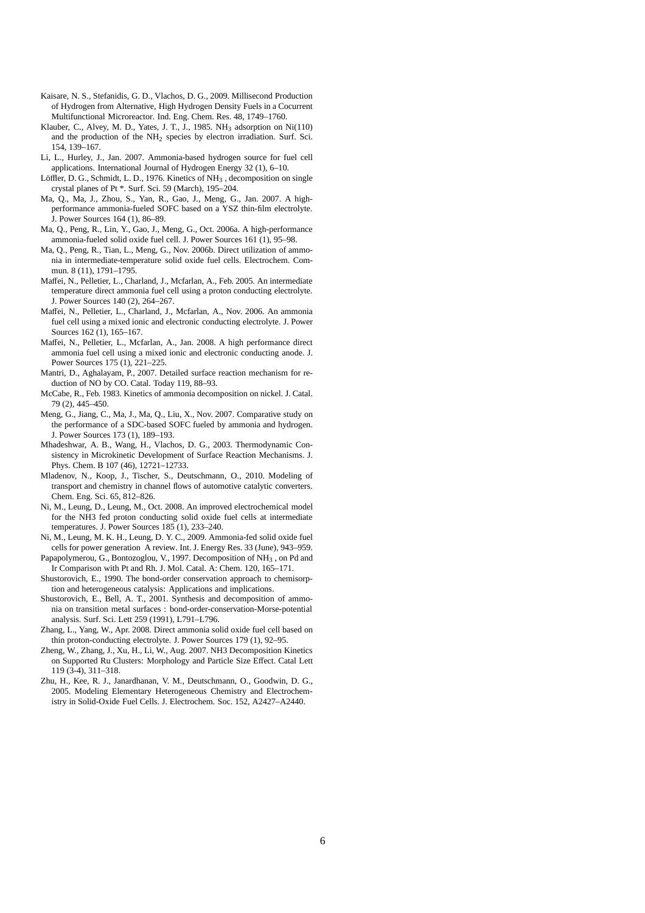- Kaisare, N. S., Stefanidis, G. D., Vlachos, D. G., 2009. Millisecond Production of Hydrogen from Alternative, High Hydrogen Density Fuels in a Cocurrent Multifunctional Microreactor. Ind. Eng. Chem. Res. 48, 1749–1760.
- Klauber, C., Alvey, M. D., Yates, J. T., J., 1985. NH<sup>3</sup> adsorption on Ni(110) and the production of the NH<sup>2</sup> species by electron irradiation. Surf. Sci. 154, 139–167.
- Li, L., Hurley, J., Jan. 2007. Ammonia-based hydrogen source for fuel cell applications. International Journal of Hydrogen Energy 32 (1), 6–10.
- Löffler, D. G., Schmidt, L. D., 1976. Kinetics of NH<sub>3</sub>, decomposition on single crystal planes of Pt \*. Surf. Sci. 59 (March), 195–204.
- Ma, Q., Ma, J., Zhou, S., Yan, R., Gao, J., Meng, G., Jan. 2007. A highperformance ammonia-fueled SOFC based on a YSZ thin-film electrolyte. J. Power Sources 164 (1), 86–89.
- Ma, Q., Peng, R., Lin, Y., Gao, J., Meng, G., Oct. 2006a. A high-performance ammonia-fueled solid oxide fuel cell. J. Power Sources 161 (1), 95–98.
- Ma, Q., Peng, R., Tian, L., Meng, G., Nov. 2006b. Direct utilization of ammonia in intermediate-temperature solid oxide fuel cells. Electrochem. Commun. 8 (11), 1791–1795.
- Maffei, N., Pelletier, L., Charland, J., Mcfarlan, A., Feb. 2005. An intermediate temperature direct ammonia fuel cell using a proton conducting electrolyte. J. Power Sources 140 (2), 264–267.
- Maffei, N., Pelletier, L., Charland, J., Mcfarlan, A., Nov. 2006. An ammonia fuel cell using a mixed ionic and electronic conducting electrolyte. J. Power Sources 162 (1), 165–167.
- Maffei, N., Pelletier, L., Mcfarlan, A., Jan. 2008. A high performance direct ammonia fuel cell using a mixed ionic and electronic conducting anode. J. Power Sources 175 (1), 221–225.
- Mantri, D., Aghalayam, P., 2007. Detailed surface reaction mechanism for reduction of NO by CO. Catal. Today 119, 88–93.
- McCabe, R., Feb. 1983. Kinetics of ammonia decomposition on nickel. J. Catal. 79 (2), 445–450.
- Meng, G., Jiang, C., Ma, J., Ma, Q., Liu, X., Nov. 2007. Comparative study on the performance of a SDC-based SOFC fueled by ammonia and hydrogen. J. Power Sources 173 (1), 189–193.
- Mhadeshwar, A. B., Wang, H., Vlachos, D. G., 2003. Thermodynamic Consistency in Microkinetic Development of Surface Reaction Mechanisms. J. Phys. Chem. B 107 (46), 12721–12733.
- Mladenov, N., Koop, J., Tischer, S., Deutschmann, O., 2010. Modeling of transport and chemistry in channel flows of automotive catalytic converters. Chem. Eng. Sci. 65, 812–826.
- Ni, M., Leung, D., Leung, M., Oct. 2008. An improved electrochemical model for the NH3 fed proton conducting solid oxide fuel cells at intermediate temperatures. J. Power Sources 185 (1), 233–240.
- Ni, M., Leung, M. K. H., Leung, D. Y. C., 2009. Ammonia-fed solid oxide fuel cells for power generation A review. Int. J. Energy Res. 33 (June), 943–959.
- Papapolymerou, G., Bontozoglou, V., 1997. Decomposition of NH<sub>3</sub>, on Pd and Ir Comparison with Pt and Rh. J. Mol. Catal. A: Chem. 120, 165–171.
- Shustorovich, E., 1990. The bond-order conservation approach to chemisorption and heterogeneous catalysis: Applications and implications.
- Shustorovich, E., Bell, A. T., 2001. Synthesis and decomposition of ammonia on transition metal surfaces : bond-order-conservation-Morse-potential analysis. Surf. Sci. Lett 259 (1991), L791–L796.
- Zhang, L., Yang, W., Apr. 2008. Direct ammonia solid oxide fuel cell based on thin proton-conducting electrolyte. J. Power Sources 179 (1), 92–95.
- Zheng, W., Zhang, J., Xu, H., Li, W., Aug. 2007. NH3 Decomposition Kinetics on Supported Ru Clusters: Morphology and Particle Size Effect. Catal Lett 119 (3-4), 311–318.
- Zhu, H., Kee, R. J., Janardhanan, V. M., Deutschmann, O., Goodwin, D. G., 2005. Modeling Elementary Heterogeneous Chemistry and Electrochemistry in Solid-Oxide Fuel Cells. J. Electrochem. Soc. 152, A2427–A2440.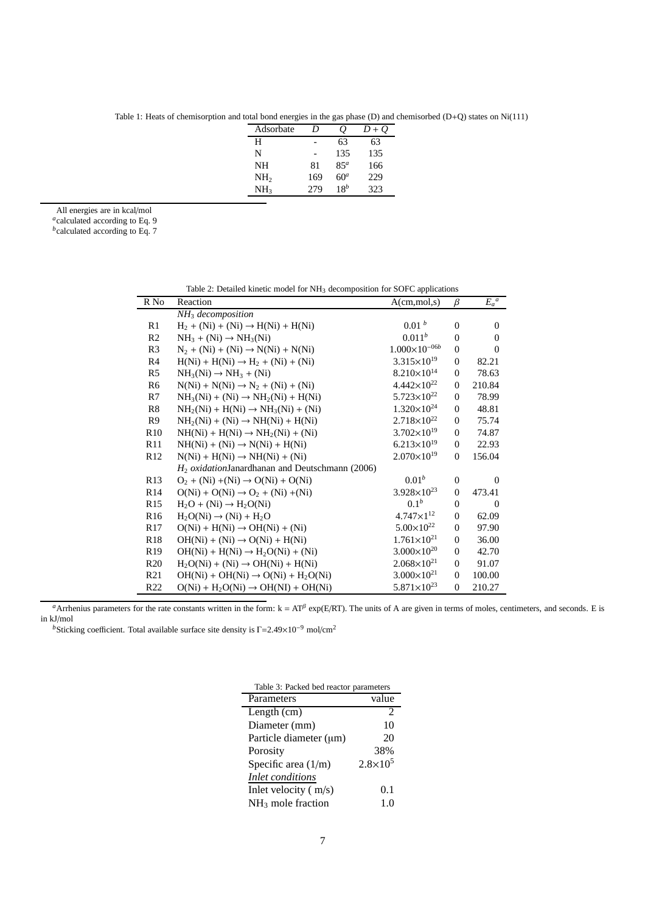Table 1: Heats of chemisorption and total bond energies in the gas phase (D) and chemisorbed (D+Q) states on Ni(111)

| Adsorbate       | D   | Ŏ.              | $D+O$ |
|-----------------|-----|-----------------|-------|
| Н               |     | 63              | 63    |
| N               |     | 135             | 135   |
| NH              | 81  | 85 <sup>a</sup> | 166   |
| NH <sub>2</sub> | 169 | 60 <sup>a</sup> | 229   |
| NH <sub>3</sub> | 279 | $18^b$          | 323   |

All energies are in kcal/mol

*a* calculated according to Eq. 9

*b* calculated according to Eq. 7

| R No            | rable 2. Detailed Killette model for tyri3 decomposition for SOFC applications<br>Reaction | $A$ (cm, mol, s)<br>$\beta$ |              |          |
|-----------------|--------------------------------------------------------------------------------------------|-----------------------------|--------------|----------|
|                 | $NH3$ decomposition                                                                        |                             |              | $E_a^a$  |
| R1              | $H_2 + (Ni) + (Ni) \rightarrow H(Ni) + H(Ni)$                                              | 0.01 <sup>b</sup>           | $\Omega$     | $\Omega$ |
| R <sub>2</sub>  | $NH_3 + (Ni) \rightarrow NH_3(Ni)$                                                         | $0.011^{b}$                 | $\Omega$     | $\Omega$ |
| R <sub>3</sub>  | $N_2 + (Ni) + (Ni) \rightarrow N(Ni) + N(Ni)$                                              | $1.000\times10^{-06b}$      | $\mathbf{0}$ | $\Omega$ |
| R4              | $H(Ni) + H(Ni) \rightarrow H_2 + (Ni) + (Ni)$                                              | $3.315\times10^{19}$        | $\Omega$     | 82.21    |
| R5              | $NH3(Ni) \rightarrow NH3 + (Ni)$                                                           | $8.210\times10^{14}$        | $\Omega$     | 78.63    |
| R6              | $N(Ni) + N(Ni) \rightarrow N_2 + (Ni) + (Ni)$                                              | $4.442\times10^{22}$        | $\Omega$     | 210.84   |
| R7              | $NH_3(Ni) + (Ni) \rightarrow NH_2(Ni) + H(Ni)$                                             | $5.723\times10^{22}$        | $\theta$     | 78.99    |
| R8              | $NH2(Ni) + H(Ni) \rightarrow NH3(Ni) + (Ni)$                                               | $1.320\times10^{24}$        | $\Omega$     | 48.81    |
| R <sub>9</sub>  | $NH2(Ni) + (Ni) \rightarrow NH(Ni) + H(Ni)$                                                | $2.718\times10^{22}$        | $\Omega$     | 75.74    |
| R <sub>10</sub> | $NH(Ni) + H(Ni) \rightarrow NH2(Ni) + (Ni)$                                                | $3.702\times10^{19}$        | $\Omega$     | 74.87    |
| R11             | $NH(Ni) + (Ni) \rightarrow N(Ni) + H(Ni)$                                                  | $6.213\times10^{19}$        | $\Omega$     | 22.93    |
| R <sub>12</sub> | $N(Ni) + H(Ni) \rightarrow NH(Ni) + (Ni)$                                                  | $2.070\times10^{19}$        | $\Omega$     | 156.04   |
|                 | $H2 oxidationJanardhanan and Deutschenann (2006)$                                          |                             |              |          |
| R13             | $O_2 + (Ni) + (Ni) \rightarrow O(Ni) + O(Ni)$                                              | $0.01^{b}$                  | $\Omega$     | $\Omega$ |
| R14             | $O(Ni) + O(Ni) \rightarrow O_2 + (Ni) + (Ni)$                                              | $3.928 \times 10^{23}$      | $\Omega$     | 473.41   |
| R <sub>15</sub> | $H_2O + (Ni) \rightarrow H_2O(Ni)$                                                         | 0.1 <sup>b</sup>            | $\Omega$     | $\Omega$ |
| R <sub>16</sub> | $H_2O(Ni) \rightarrow (Ni) + H_2O$                                                         | $4.747 \times 1^{12}$       | $\mathbf{0}$ | 62.09    |
| R17             | $O(Ni) + H(Ni) \rightarrow OH(Ni) + (Ni)$                                                  | $5.00\times10^{22}$         | $\theta$     | 97.90    |
| R <sub>18</sub> | $OH(Ni) + (Ni) \rightarrow O(Ni) + H(Ni)$                                                  | $1.761\times10^{21}$        | $\Omega$     | 36.00    |
| R <sub>19</sub> | $OH(Ni) + H(Ni) \rightarrow H2O(Ni) + (Ni)$                                                | $3.000\times10^{20}$        | $\Omega$     | 42.70    |
| R <sub>20</sub> | $H_2O(Ni) + (Ni) \rightarrow OH(Ni) + H(Ni)$                                               | $2.068\times10^{21}$        | $\Omega$     | 91.07    |
| R21             | $OH(Ni) + OH(Ni) \rightarrow O(Ni) + H_2O(Ni)$                                             | $3.000\times10^{21}$        | $\Omega$     | 100.00   |
| R <sub>22</sub> | $O(Ni) + H_2O(Ni) \rightarrow OH(NI) + OH(Ni)$                                             | $5.871\times10^{23}$        | $\Omega$     | 210.27   |

Table 2: Detailed kinetic model for NH<sup>3</sup> decomposition for SOFC applications

*a*Arrhenius parameters for the rate constants written in the form:  $k = AT^{\beta}$  exp(E/RT). The units of A are given in terms of moles, centimeters, and seconds. E is in kJ/mol

*b*Sticking coefficient. Total available surface site density is Γ=2.49×10<sup>-9</sup> mol/cm<sup>2</sup>

| Table 3: Packed bed reactor parameters |                     |  |  |  |
|----------------------------------------|---------------------|--|--|--|
| Parameters                             | value               |  |  |  |
| Length (cm)                            | 2                   |  |  |  |
| Diameter (mm)                          | 10                  |  |  |  |
| Particle diameter (µm)                 | 20                  |  |  |  |
| Porosity                               | 38%                 |  |  |  |
| Specific area $(1/m)$                  | $2.8 \times 10^{5}$ |  |  |  |
| <i>Inlet conditions</i>                |                     |  |  |  |
| Inlet velocity $(m/s)$                 | 0.1                 |  |  |  |
| $NH3$ mole fraction                    | 1 ()                |  |  |  |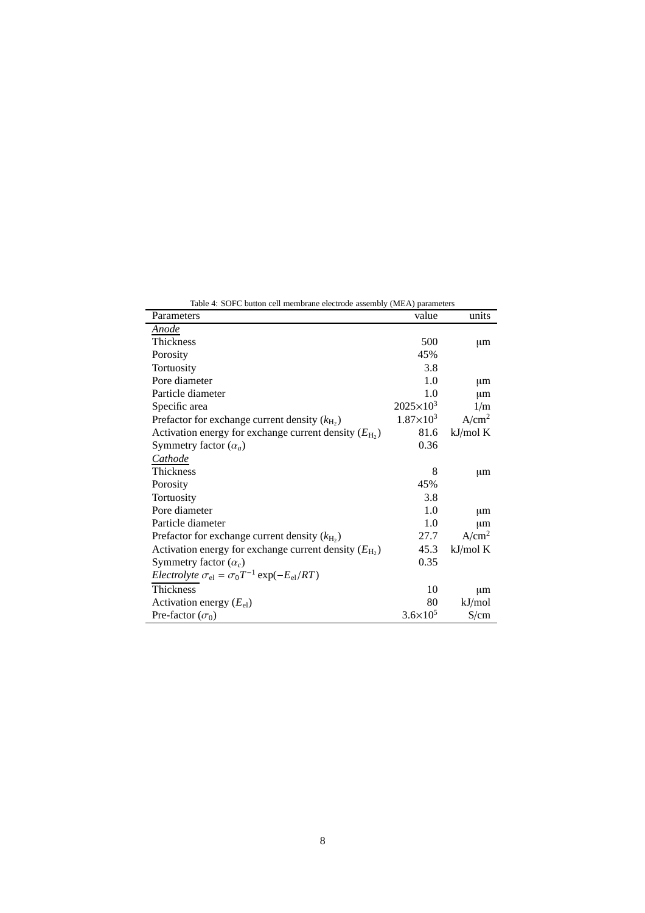| Table 4: SOFC button cell membrane electrode assembly (MEA) parameters |                     |                   |  |  |  |
|------------------------------------------------------------------------|---------------------|-------------------|--|--|--|
| Parameters                                                             | value               | units             |  |  |  |
| Anode                                                                  |                     |                   |  |  |  |
| Thickness                                                              | 500                 | $\mu$ m           |  |  |  |
| Porosity                                                               | 45%                 |                   |  |  |  |
| Tortuosity                                                             | 3.8                 |                   |  |  |  |
| Pore diameter                                                          | 1.0                 | μm                |  |  |  |
| Particle diameter                                                      | 1.0                 | μm                |  |  |  |
| Specific area                                                          | $2025 \times 10^3$  | 1/m               |  |  |  |
| Prefactor for exchange current density $(k_{\text{H}_2})$              | $1.87\times10^{3}$  | A/cm <sup>2</sup> |  |  |  |
| Activation energy for exchange current density $(E_{\text{H}_2})$      | 81.6                | kJ/mol K          |  |  |  |
| Symmetry factor $(\alpha_a)$                                           | 0.36                |                   |  |  |  |
| Cathode                                                                |                     |                   |  |  |  |
| <b>Thickness</b>                                                       | 8                   | $\mu$ m           |  |  |  |
| Porosity                                                               | 45%                 |                   |  |  |  |
| Tortuosity                                                             | 3.8                 |                   |  |  |  |
| Pore diameter                                                          | 1.0                 | $\mu$ m           |  |  |  |
| Particle diameter                                                      | 1.0                 | μm                |  |  |  |
| Prefactor for exchange current density $(k_{\text{H}_2})$              | 27.7                | A/cm <sup>2</sup> |  |  |  |
| Activation energy for exchange current density $(E_{\text{H}_2})$      | 45.3                | kJ/mol K          |  |  |  |
| Symmetry factor $(\alpha_c)$                                           | 0.35                |                   |  |  |  |
| <i>Electrolyte</i> $\sigma_{el} = \sigma_0 T^{-1} \exp(-E_{el}/RT)$    |                     |                   |  |  |  |
| Thickness                                                              | 10                  | μm                |  |  |  |
| Activation energy $(E_{el})$                                           | 80                  | kJ/mol            |  |  |  |
| Pre-factor $(\sigma_0)$                                                | $3.6 \times 10^{5}$ | S/cm              |  |  |  |

8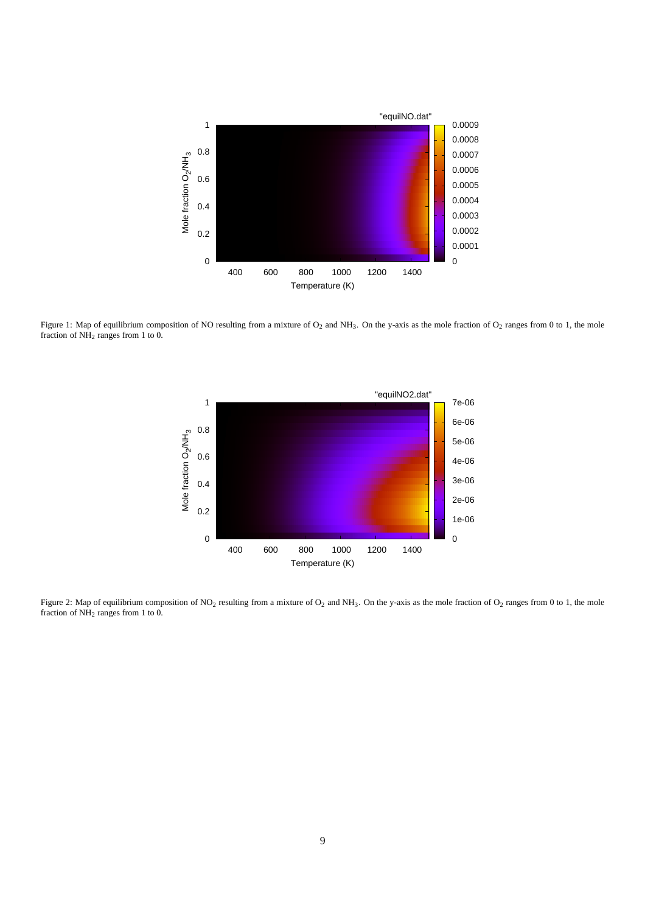

Figure 1: Map of equilibrium composition of NO resulting from a mixture of  $O_2$  and NH<sub>3</sub>. On the y-axis as the mole fraction of  $O_2$  ranges from 0 to 1, the mole fraction of  $\overrightarrow{NH_2}$  ranges from 1 to 0.



Figure 2: Map of equilibrium composition of NO<sub>2</sub> resulting from a mixture of O<sub>2</sub> and NH<sub>3</sub>. On the y-axis as the mole fraction of O<sub>2</sub> ranges from 0 to 1, the mole fraction of NH<sup>2</sup> ranges from 1 to 0.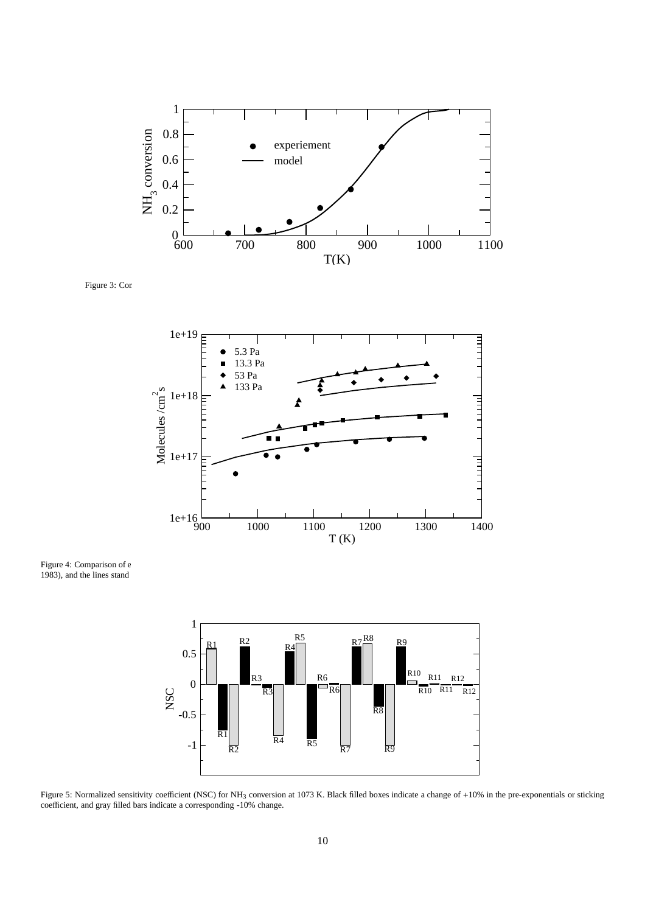

Figure 3: Comparison of model predictions with experimental measurements of  $C_1$  (Choudari et al., 2001)



Figure 4: Comparison of e 1983), and the lines stand



Figure 5: Normalized sensitivity coefficient (NSC) for NH<sub>3</sub> conversion at 1073 K. Black filled boxes indicate a change of +10% in the pre-exponentials or sticking coefficient, and gray filled bars indicate a corresponding -10% change.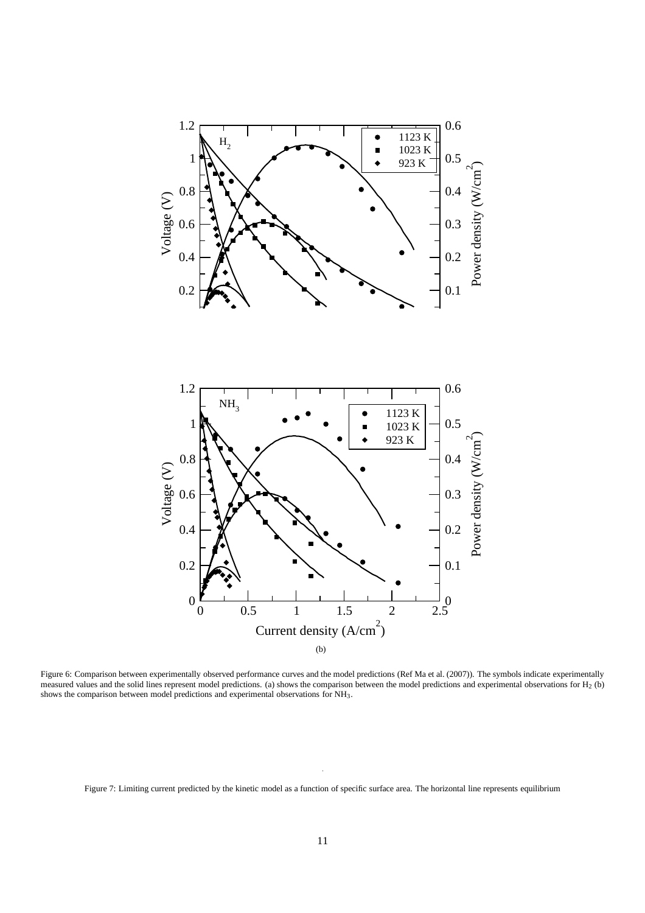

Figure 6: Comparison between experimentally observed performance curves and the model predictions (Ref Ma et al. (2007)). The symbols indicate experimentally measured values and the solid lines represent model predictions. (a) shows the comparison between the model predictions and experimental observations for  $H_2$  (b) shows the comparison between model predictions and experimental observations for NH3.

Figure 7: Limiting current predicted by the kinetic model as a function of specific surface area. The horizontal line represents equilibrium